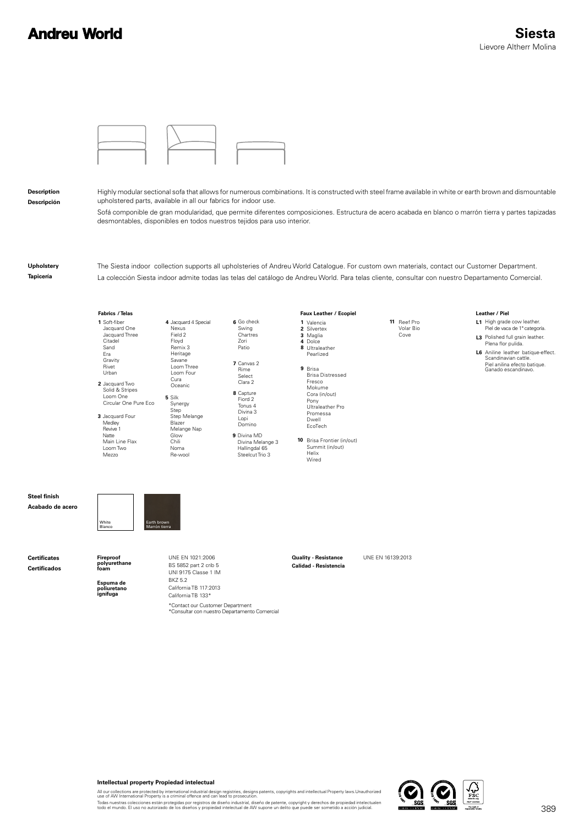# **Andreu World**



**Description Descripción** Highly modular sectional sofa that allows for numerous combinations. It is constructed with steel frame available in white or earth brown and dismountable upholstered parts, available in all our fabrics for indoor use.

Sofá componible de gran modularidad, que permite diferentes composiciones. Estructura de acero acabada en blanco o marrón tierra y partes tapizadas desmontables, disponibles en todos nuestros tejidos para uso interior.

**Upholstery Tapicería**

The Siesta indoor collection supports all upholsteries of Andreu World Catalogue. For custom own materials, contact our Customer Department. La colección Siesta indoor admite todas las telas del catálogo de Andreu World. Para telas cliente, consultar con nuestro Departamento Comercial.



#### **Intellectual property Propiedad intelectual**

All our collections are protected by international industrial design registries, designs patents, copyrights and intellectual Property laws.Unauthorized<br>use of AW International Property is a criminal offence and can lead t

Todas nuestras colecciones están protegidas por registros de diseño industrial, diseño de patente, copyright y derechos de propiedad intelectualen<br>todo el mundo. El uso no autorizado de los diseños y propiedad intelectual

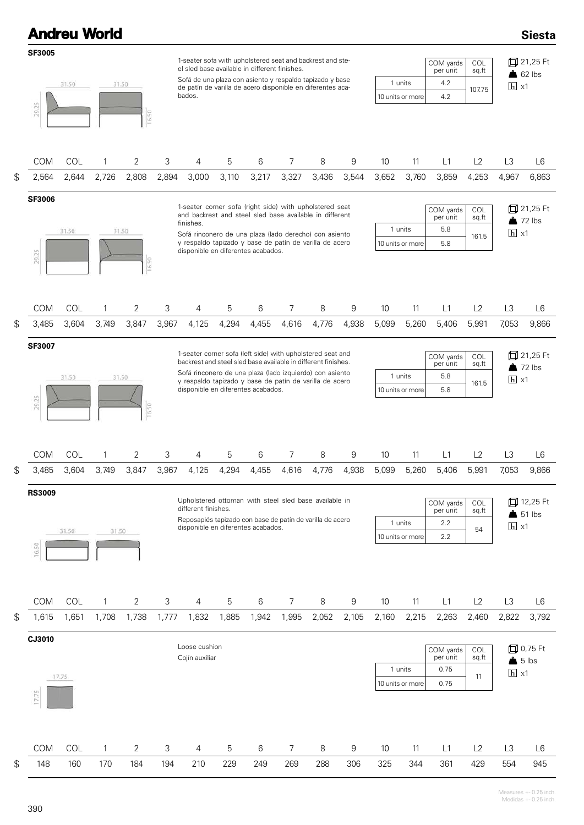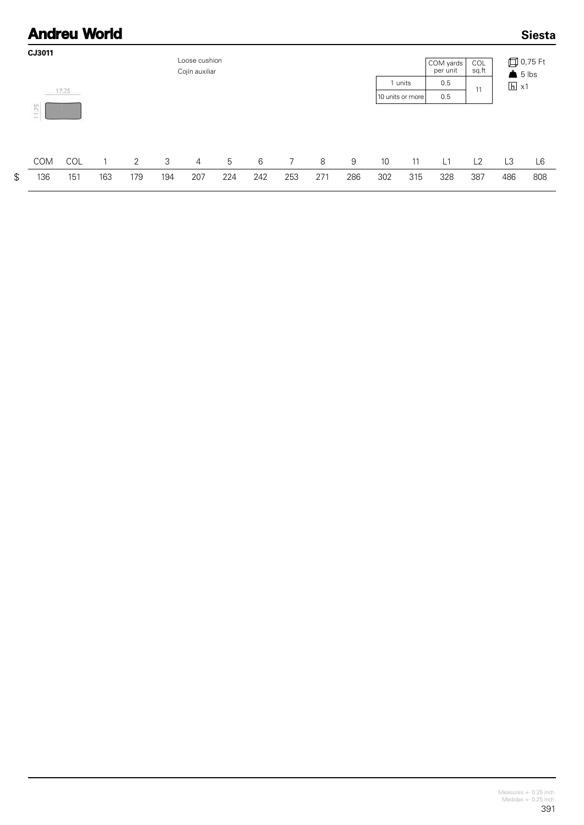#### **Andreu World Siesta** CJ3011 Loose cushion **□ 0,75 Ft** COM yards<br>per unit  $\overline{\text{COL}}$ <br>sq.ft Cojín auxiliar  $65$  lbs  $0.5$ 1 units  $h \times 1$  $17.75$  $11$ 10 units or more  $0.5$ 11.75 COM  $\overline{2}$  $\mathbf{3}$  $\overline{5}$  $\overline{7}$ 8  $\overline{9}$ COL  $\overline{1}$  $\overline{4}$  $6\,$  $10$ 11  $L1$  $L2$ L3 L6 136 151 163 179 194 207 224 242 253 271 286 302 315 328 387 486 808

 $\mathfrak{S}$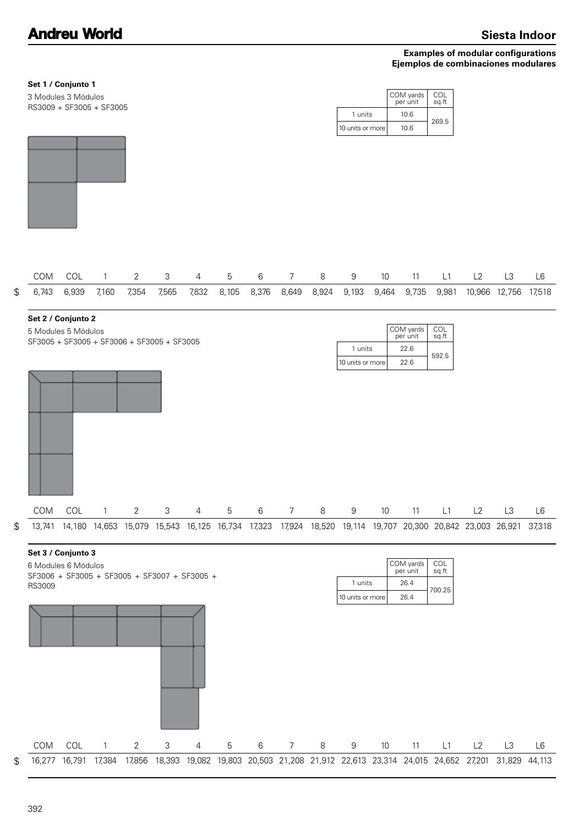### **Examples of modular configurations Ejemplos de combinaciones modulares**

## **Set 1 / Conjunto 1**

RS3009 + SF3005 + SF3005 3 Modules 3 Módulos

|                  | COM yards<br>per unit | COL<br>sg.ft |  |  |  |
|------------------|-----------------------|--------------|--|--|--|
| 1 units          | 10.6                  | 269.5        |  |  |  |
| 10 units or more | 10.6                  |              |  |  |  |



|  |  |  |  |  |  |  |  | COM COL 1 2 3 4 5 6 7 8 9 10 11 L1 L2 L3 L6                                                                 |  |
|--|--|--|--|--|--|--|--|-------------------------------------------------------------------------------------------------------------|--|
|  |  |  |  |  |  |  |  | \$ 6,743 6,939 7,160 7,354 7,565 7,832 8,105 8,376 8,649 8,924 9,193 9,464 9,735 9,981 10,966 12,756 17,518 |  |

#### **Set 2 / Conjunto 2**

SF3005 + SF3005 + SF3006 + SF3005 + SF3005 5 Modules 5 Módulos

|                  | COM yards<br>per unit | COL<br>sg.ft |  |  |
|------------------|-----------------------|--------------|--|--|
| 1 units          | 22 R                  |              |  |  |
| 10 units or more | 22.6                  | 592.5        |  |  |





COM COL 1 2 3 4 5 6 7 8 9 10 11 L1 L2 L3 L6 16,277 16,791 17,384 17,856 18,393 19,082 19,803 20,503 21,208 21,912 22,613 23,314 24,015 24,652 27,201 31,829 44,113

392

\$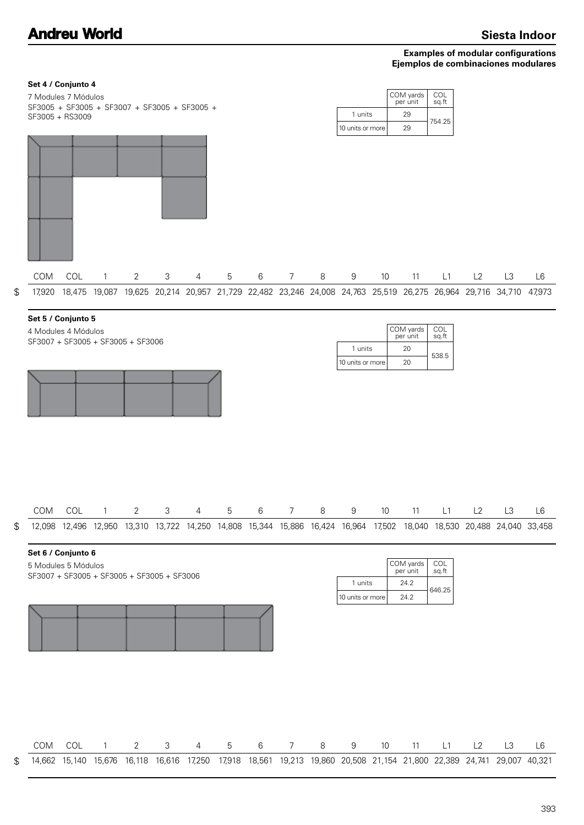### **Examples of modular configurations Ejemplos de combinaciones modulares**

| Set 4 / Conjunto 4<br>7 Modules 7 Módulos<br>SF3005 + SF3005 + SF3007 + SF3005 + SF3005 +<br>SF3005 + RS3009 |     |              |                |   |                |                 |   |                |                | 1 units<br>10 units or more |                 | COM yards<br>per unit<br>29<br>29     | COL<br>sq.ft<br>754.25                                                                                                             |    |                |    |
|--------------------------------------------------------------------------------------------------------------|-----|--------------|----------------|---|----------------|-----------------|---|----------------|----------------|-----------------------------|-----------------|---------------------------------------|------------------------------------------------------------------------------------------------------------------------------------|----|----------------|----|
|                                                                                                              |     |              |                |   |                |                 |   |                |                |                             |                 |                                       |                                                                                                                                    |    |                |    |
| COM                                                                                                          | COL | $\mathbf{1}$ | $\overline{2}$ | 3 | $\overline{4}$ | $5\phantom{.0}$ | 6 | 7 <sup>7</sup> | 8              | 9                           | 10 <sup>°</sup> | 11                                    | L1                                                                                                                                 | L2 | L <sub>3</sub> | L6 |
| \$<br>17,920                                                                                                 |     |              |                |   |                |                 |   |                |                |                             |                 |                                       | 18,475 19,087 19,625 20,214 20,957 21,729 22,482 23,246 24,008 24,763 25,519 26,275 26,964 29,716 34,710 47,973                    |    |                |    |
| Set 5 / Conjunto 5<br>4 Modules 4 Módulos<br>SF3007 + SF3005 + SF3005 + SF3006                               |     |              |                |   |                |                 |   |                |                | 1 units<br>10 units or more |                 | COM yards<br>per unit<br>20<br>20     | COL<br>sq.ft<br>538.5                                                                                                              |    |                |    |
|                                                                                                              |     |              |                |   |                |                 |   |                | 8 <sup>8</sup> |                             |                 |                                       |                                                                                                                                    |    |                |    |
| \$<br>COM                                                                                                    | COL | $\sim$ 1     | 2              | 3 | 4              | 5               | 6 | 7              |                | 9                           | 10              |                                       | 11 L1 L2<br>12,098 12,496 12,950 13,310 13,722 14,250 14,808 15,344 15,886 16,424 16,964 17,502 18,040 18,530 20,488 24,040 33,458 |    | L3             | L6 |
| Set 6 / Conjunto 6<br>5 Modules 5 Módulos<br>SF3007 + SF3005 + SF3005 + SF3005 + SF3006                      |     |              |                |   |                |                 |   |                |                | 1 units<br>10 units or more |                 | COM yards<br>per unit<br>24.2<br>24.2 | COL<br>sq.ft<br>646.25                                                                                                             |    |                |    |
| COM                                                                                                          | COL | $\mathbf{1}$ | $\overline{2}$ | 3 | 4              | 5               | 6 | 7              | 8              | 9                           | $10$            | 11                                    | L1                                                                                                                                 | L2 | L3             | L6 |
| \$                                                                                                           |     |              |                |   |                |                 |   |                |                |                             |                 |                                       | 14,662 15,140 15,676 16,118 16,616 17,250 17,918 18,561 19,213 19,860 20,508 21,154 21,800 22,389 24,741 29,007 40,321             |    |                |    |